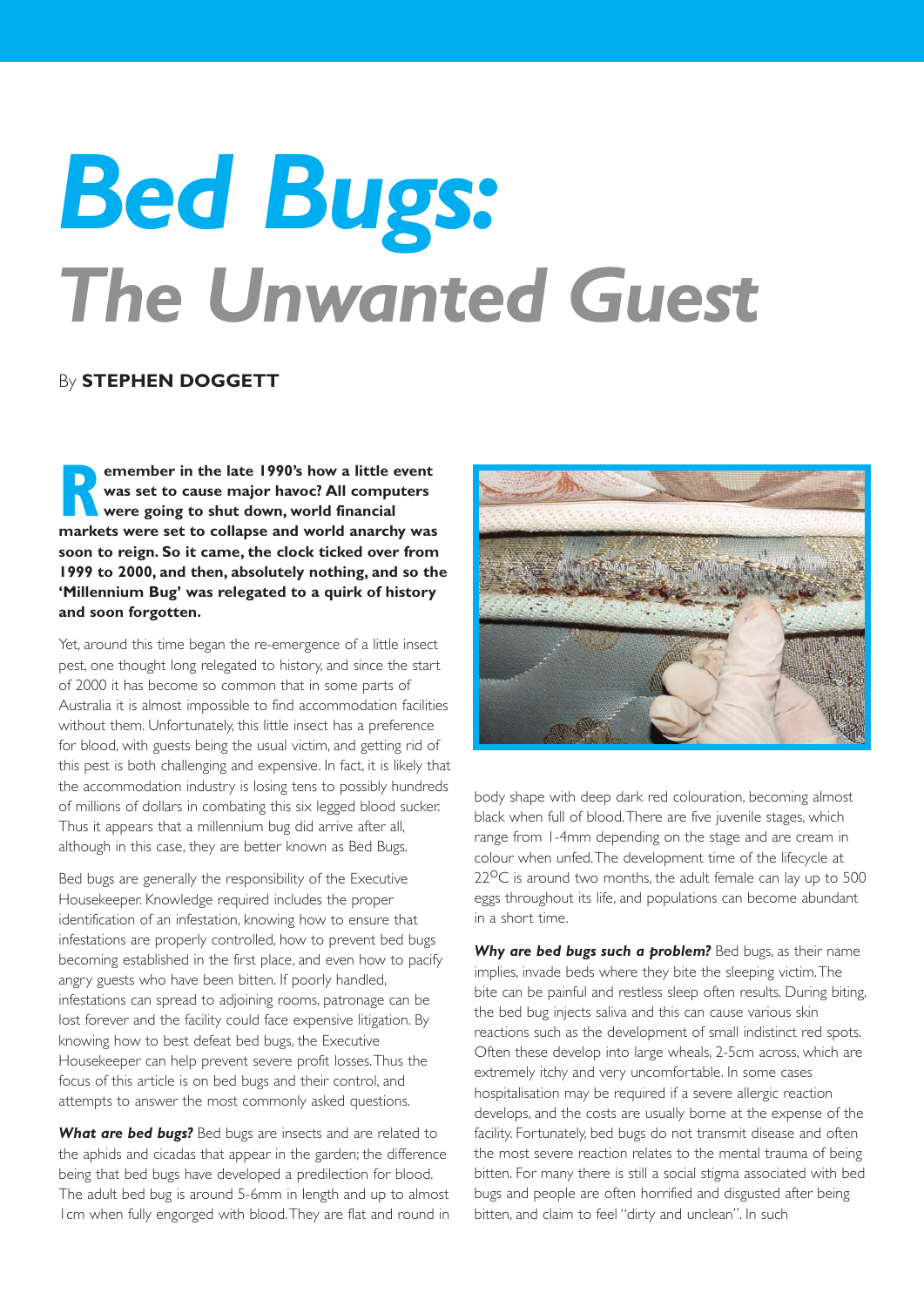## *Bed Bugs: The Unwanted Guest*

## By **STEPHEN DOGGETT**

**Race in the late 1990's how a little event**<br>was set to cause major havoc? All computers<br>were going to shut down, world financial<br>markets were set to collanse and world anarchy was **was set to cause major havoc? All computers were going to shut down, world financial markets were set to collapse and world anarchy was soon to reign. So it came, the clock ticked over from 1999 to 2000, and then, absolutely nothing, and so the 'Millennium Bug' was relegated to a quirk of history and soon forgotten.**

Yet, around this time began the re-emergence of a little insect pest, one thought long relegated to history, and since the start of 2000 it has become so common that in some parts of Australia it is almost impossible to find accommodation facilities without them. Unfortunately, this little insect has a preference for blood, with guests being the usual victim, and getting rid of this pest is both challenging and expensive. In fact, it is likely that the accommodation industry is losing tens to possibly hundreds of millions of dollars in combating this six legged blood sucker. Thus it appears that a millennium bug did arrive after all, although in this case, they are better known as Bed Bugs.

Bed bugs are generally the responsibility of the Executive Housekeeper. Knowledge required includes the proper identification of an infestation, knowing how to ensure that infestations are properly controlled, how to prevent bed bugs becoming established in the first place, and even how to pacify angry guests who have been bitten. If poorly handled, infestations can spread to adjoining rooms, patronage can be lost forever and the facility could face expensive litigation. By knowing how to best defeat bed bugs, the Executive Housekeeper can help prevent severe profit losses.Thus the focus of this article is on bed bugs and their control, and attempts to answer the most commonly asked questions.

**What are bed bugs?** Bed bugs are insects and are related to the aphids and cicadas that appear in the garden; the difference being that bed bugs have developed a predilection for blood. The adult bed bug is around 5-6mm in length and up to almost 1cm when fully engorged with blood.They are flat and round in



body shape with deep dark red colouration, becoming almost black when full of blood.There are five juvenile stages, which range from 1-4mm depending on the stage and are cream in colour when unfed.The development time of the lifecycle at  $22^{\circ}$ C is around two months, the adult female can lay up to 500 eggs throughout its life, and populations can become abundant in a short time.

*Why are bed bugs such a problem?* Bed bugs, as their name implies, invade beds where they bite the sleeping victim.The bite can be painful and restless sleep often results. During biting, the bed bug injects saliva and this can cause various skin reactions such as the development of small indistinct red spots. Often these develop into large wheals, 2-5cm across, which are extremely itchy and very uncomfortable. In some cases hospitalisation may be required if a severe allergic reaction develops, and the costs are usually borne at the expense of the facility. Fortunately, bed bugs do not transmit disease and often the most severe reaction relates to the mental trauma of being bitten. For many there is still a social stigma associated with bed bugs and people are often horrified and disgusted after being bitten, and claim to feel "dirty and unclean". In such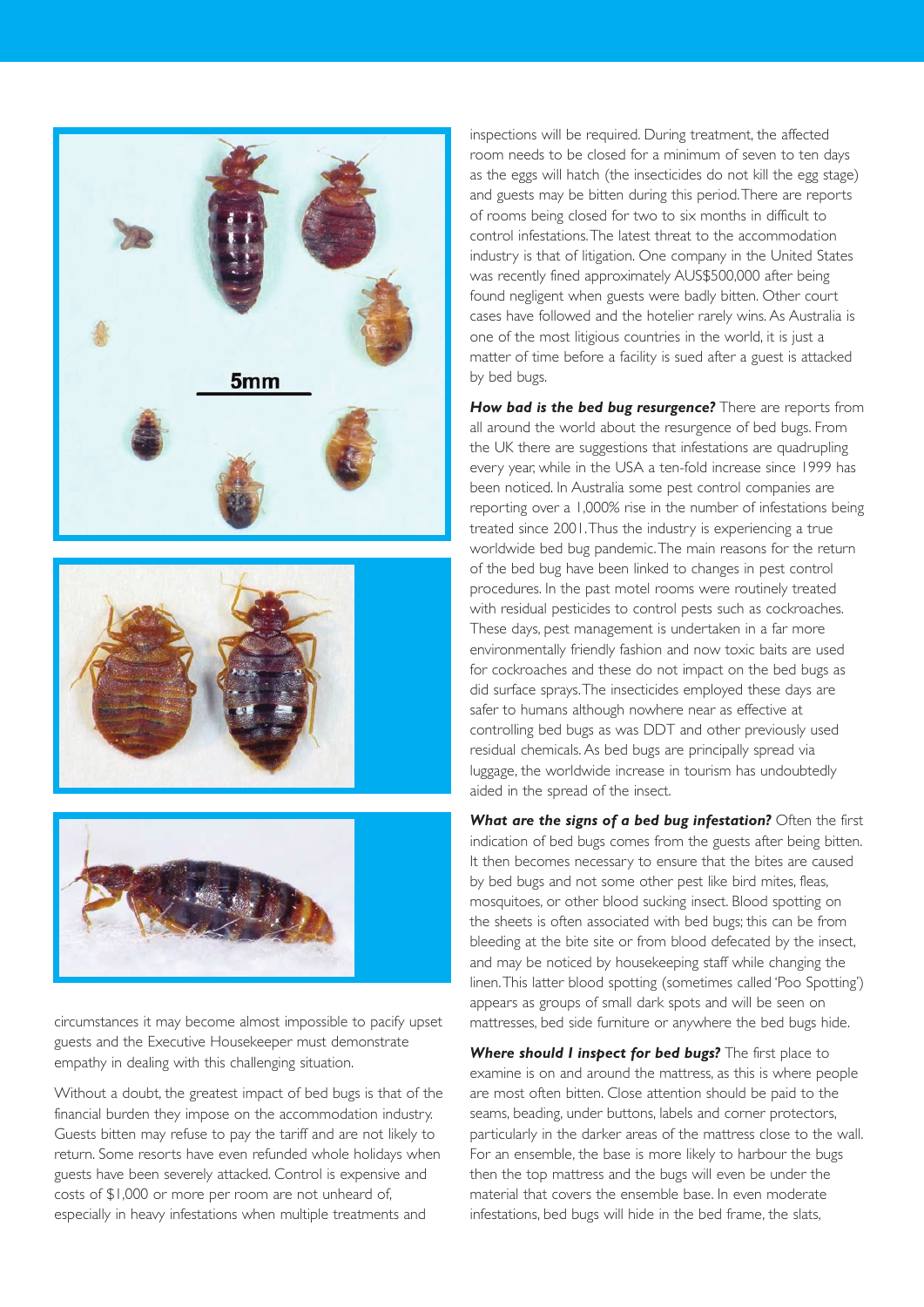





circumstances it may become almost impossible to pacify upset guests and the Executive Housekeeper must demonstrate empathy in dealing with this challenging situation.

Without a doubt, the greatest impact of bed bugs is that of the financial burden they impose on the accommodation industry. Guests bitten may refuse to pay the tariff and are not likely to return. Some resorts have even refunded whole holidays when guests have been severely attacked. Control is expensive and costs of \$1,000 or more per room are not unheard of, especially in heavy infestations when multiple treatments and

inspections will be required. During treatment, the affected room needs to be closed for a minimum of seven to ten days as the eggs will hatch (the insecticides do not kill the egg stage) and guests may be bitten during this period.There are reports of rooms being closed for two to six months in difficult to control infestations.The latest threat to the accommodation industry is that of litigation. One company in the United States was recently fined approximately AUS\$500,000 after being found negligent when guests were badly bitten. Other court cases have followed and the hotelier rarely wins. As Australia is one of the most litigious countries in the world, it is just a matter of time before a facility is sued after a guest is attacked by bed bugs.

**How bad is the bed bug resurgence?** There are reports from all around the world about the resurgence of bed bugs. From the UK there are suggestions that infestations are quadrupling every year, while in the USA a ten-fold increase since 1999 has been noticed. In Australia some pest control companies are reporting over a 1,000% rise in the number of infestations being treated since 2001.Thus the industry is experiencing a true worldwide bed bug pandemic.The main reasons for the return of the bed bug have been linked to changes in pest control procedures. In the past motel rooms were routinely treated with residual pesticides to control pests such as cockroaches. These days, pest management is undertaken in a far more environmentally friendly fashion and now toxic baits are used for cockroaches and these do not impact on the bed bugs as did surface sprays.The insecticides employed these days are safer to humans although nowhere near as effective at controlling bed bugs as was DDT and other previously used residual chemicals.As bed bugs are principally spread via luggage, the worldwide increase in tourism has undoubtedly aided in the spread of the insect.

What are the signs of a bed bug infestation? Often the first indication of bed bugs comes from the guests after being bitten. It then becomes necessary to ensure that the bites are caused by bed bugs and not some other pest like bird mites, fleas, mosquitoes, or other blood sucking insect. Blood spotting on the sheets is often associated with bed bugs; this can be from bleeding at the bite site or from blood defecated by the insect, and may be noticed by housekeeping staff while changing the linen.This latter blood spotting (sometimes called 'Poo Spotting') appears as groups of small dark spots and will be seen on mattresses, bed side furniture or anywhere the bed bugs hide.

*Where should I inspect for bed bugs?* The first place to examine is on and around the mattress, as this is where people are most often bitten. Close attention should be paid to the seams, beading, under buttons, labels and corner protectors, particularly in the darker areas of the mattress close to the wall. For an ensemble, the base is more likely to harbour the bugs then the top mattress and the bugs will even be under the material that covers the ensemble base. In even moderate infestations, bed bugs will hide in the bed frame, the slats,